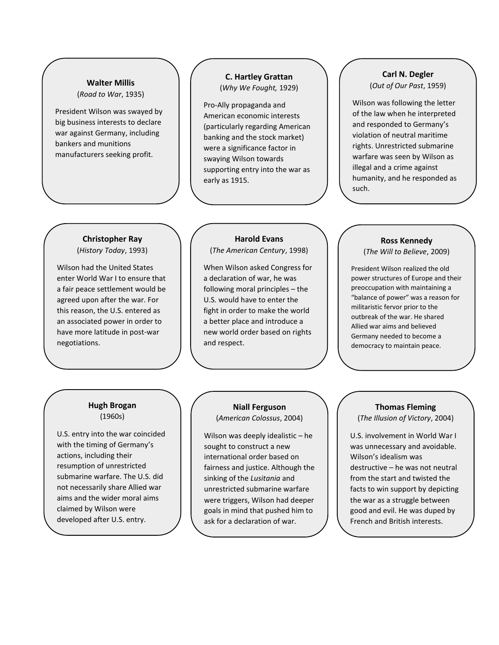#### **Walter Millis**  (*Road to War*, 1935)

President Wilson was swayed by big business interests to declare war against Germany, including bankers and munitions manufacturers seeking profit.

### **C. Hartley Grattan** (*Why We Fought,* 1929)

Pro-Ally propaganda and American economic interests (particularly regarding American banking and the stock market) were a significance factor in swaying Wilson towards supporting entry into the war as early as 1915.

## **Carl N. Degler**  (*Out of Our Past*, 1959)

Wilson was following the letter of the law when he interpreted and responded to Germany's violation of neutral maritime rights. Unrestricted submarine warfare was seen by Wilson as illegal and a crime against humanity, and he responded as such.

## **Christopher Ray**  (*History Today*, 1993)

Wilson had the United States enter World War I to ensure that a fair peace settlement would be agreed upon after the war. For this reason, the U.S. entered as an associated power in order to have more latitude in post-war negotiations.

# **Harold Evans**

(*The American Century*, 1998)

When Wilson asked Congress for a declaration of war, he was following moral principles – the U.S. would have to enter the fight in order to make the world a better place and introduce a new world order based on rights and respect.

# **Ross Kennedy**

(*The Will to Believe*, 2009)

President Wilson realized the old power structures of Europe and their preoccupation with maintaining a "balance of power" was a reason for militaristic fervor prior to the outbreak of the war. He shared Allied war aims and believed Germany needed to become a democracy to maintain peace.

# **Hugh Brogan** (1960s)

U.S. entry into the war coincided with the timing of Germany's actions, including their resumption of unrestricted submarine warfare. The U.S. did not necessarily share Allied war aims and the wider moral aims claimed by Wilson were developed after U.S. entry.

# **Niall Ferguson**

(*American Colossus*, 2004)

Wilson was deeply idealistic – he sought to construct a new international order based on fairness and justice. Although the sinking of the *Lusitania* and unrestricted submarine warfare were triggers, Wilson had deeper goals in mind that pushed him to ask for a declaration of war.

# **Thomas Fleming**

(*The Illusion of Victory*, 2004)

U.S. involvement in World War I was unnecessary and avoidable. Wilson's idealism was destructive – he was not neutral from the start and twisted the facts to win support by depicting the war as a struggle between good and evil. He was duped by French and British interests.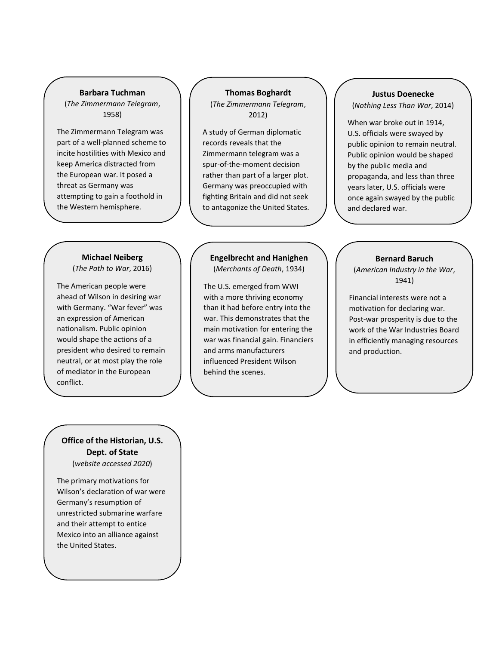#### **Barbara Tuchman**

(*The Zimmermann Telegram*, 1958)

The Zimmermann Telegram was part of a well-planned scheme to incite hostilities with Mexico and keep America distracted from the European war. It posed a threat as Germany was attempting to gain a foothold in the Western hemisphere.

#### **Thomas Boghardt**

(*The Zimmermann Telegram*, 2012)

A study of German diplomatic records reveals that the Zimmermann telegram was a spur-of-the-moment decision rather than part of a larger plot. Germany was preoccupied with fighting Britain and did not seek to antagonize the United States.

# **Michael Neiberg**

(*The Path to War*, 2016)

The American people were ahead of Wilson in desiring war with Germany. "War fever" was an expression of American nationalism. Public opinion would shape the actions of a president who desired to remain neutral, or at most play the role of mediator in the European conflict.

#### **Engelbrecht and Hanighen** (*Merchants of Death*, 1934)

The U.S. emerged from WWI with a more thriving economy than it had before entry into the war. This demonstrates that the main motivation for entering the war was financial gain. Financiers and arms manufacturers influenced President Wilson behind the scenes.

## **Justus Doenecke** (*Nothing Less Than War*, 2014)

When war broke out in 1914, U.S. officials were swayed by public opinion to remain neutral. Public opinion would be shaped by the public media and propaganda, and less than three years later, U.S. officials were once again swayed by the public and declared war.

#### **Bernard Baruch**

(*American Industry in the War*, 1941)

Financial interests were not a motivation for declaring war. Post-war prosperity is due to the work of the War Industries Board in efficiently managing resources and production.

**Office of the Historian, U.S. Dept. of State** (*website accessed 2020*)

The primary motivations for Wilson's declaration of war were Germany's resumption of unrestricted submarine warfare and their attempt to entice Mexico into an alliance against the United States.